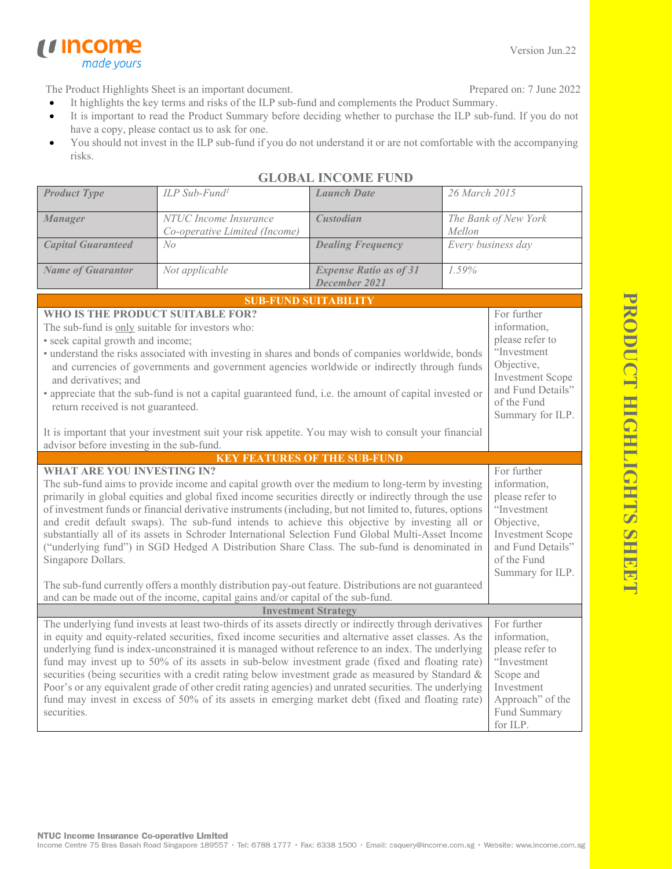PRODUCT HIGHLIGHTS SHEE **PRODUCT HIGHLIGHTS SHEET**

The Product Highlights Sheet is an important document.

made yours

*u* income

- Prepared on: 7 June 2022
- It highlights the key terms and risks of the ILP sub-fund and complements the Product Summary.
- It is important to read the Product Summary before deciding whether to purchase the ILP sub-fund. If you do not have a copy, please contact us to ask for one.
- You should not invest in the ILP sub-fund if you do not understand it or are not comfortable with the accompanying risks.

| <b>Product Type</b>                                                                                                                                                                                                                                                                                                                                                                                                                                                                                                                                                                                                                                                                                                                                            | ILP Sub-Fund <sup>1</sup>                              | <b>Launch Date</b>                             | 26 March 2015                                                                                                                                                  |                                                                                                                                          |  |
|----------------------------------------------------------------------------------------------------------------------------------------------------------------------------------------------------------------------------------------------------------------------------------------------------------------------------------------------------------------------------------------------------------------------------------------------------------------------------------------------------------------------------------------------------------------------------------------------------------------------------------------------------------------------------------------------------------------------------------------------------------------|--------------------------------------------------------|------------------------------------------------|----------------------------------------------------------------------------------------------------------------------------------------------------------------|------------------------------------------------------------------------------------------------------------------------------------------|--|
| <b>Manager</b>                                                                                                                                                                                                                                                                                                                                                                                                                                                                                                                                                                                                                                                                                                                                                 | NTUC Income Insurance<br>Co-operative Limited (Income) | <b>Custodian</b>                               | The Bank of New York<br>Mellon                                                                                                                                 |                                                                                                                                          |  |
| <b>Capital Guaranteed</b>                                                                                                                                                                                                                                                                                                                                                                                                                                                                                                                                                                                                                                                                                                                                      | N <sub>O</sub>                                         | <b>Dealing Frequency</b>                       | Every business day                                                                                                                                             |                                                                                                                                          |  |
| <b>Name of Guarantor</b>                                                                                                                                                                                                                                                                                                                                                                                                                                                                                                                                                                                                                                                                                                                                       | Not applicable                                         | <b>Expense Ratio as of 31</b><br>December 2021 | 1.59%                                                                                                                                                          |                                                                                                                                          |  |
|                                                                                                                                                                                                                                                                                                                                                                                                                                                                                                                                                                                                                                                                                                                                                                |                                                        | <b>SUB-FUND SUITABILITY</b>                    |                                                                                                                                                                |                                                                                                                                          |  |
| WHO IS THE PRODUCT SUITABLE FOR?<br>The sub-fund is only suitable for investors who:<br>• seek capital growth and income;<br>• understand the risks associated with investing in shares and bonds of companies worldwide, bonds<br>and currencies of governments and government agencies worldwide or indirectly through funds<br>and derivatives; and<br>• appreciate that the sub-fund is not a capital guaranteed fund, i.e. the amount of capital invested or<br>return received is not guaranteed.                                                                                                                                                                                                                                                        |                                                        |                                                | For further<br>information,<br>please refer to<br>"Investment<br>Objective,<br><b>Investment Scope</b><br>and Fund Details"<br>of the Fund<br>Summary for ILP. |                                                                                                                                          |  |
| It is important that your investment suit your risk appetite. You may wish to consult your financial<br>advisor before investing in the sub-fund.                                                                                                                                                                                                                                                                                                                                                                                                                                                                                                                                                                                                              |                                                        |                                                |                                                                                                                                                                |                                                                                                                                          |  |
|                                                                                                                                                                                                                                                                                                                                                                                                                                                                                                                                                                                                                                                                                                                                                                | <b>KEY FEATURES OF THE SUB-FUND</b>                    |                                                |                                                                                                                                                                |                                                                                                                                          |  |
| <b>WHAT ARE YOU INVESTING IN?</b><br>The sub-fund aims to provide income and capital growth over the medium to long-term by investing<br>primarily in global equities and global fixed income securities directly or indirectly through the use<br>of investment funds or financial derivative instruments (including, but not limited to, futures, options<br>and credit default swaps). The sub-fund intends to achieve this objective by investing all or<br>substantially all of its assets in Schroder International Selection Fund Global Multi-Asset Income<br>("underlying fund") in SGD Hedged A Distribution Share Class. The sub-fund is denominated in<br>Singapore Dollars.                                                                       |                                                        |                                                | For further<br>information,<br>please refer to<br>"Investment<br>Objective,<br><b>Investment Scope</b><br>and Fund Details"<br>of the Fund<br>Summary for ILP. |                                                                                                                                          |  |
| The sub-fund currently offers a monthly distribution pay-out feature. Distributions are not guaranteed<br>and can be made out of the income, capital gains and/or capital of the sub-fund.                                                                                                                                                                                                                                                                                                                                                                                                                                                                                                                                                                     |                                                        |                                                |                                                                                                                                                                |                                                                                                                                          |  |
| <b>Investment Strategy</b>                                                                                                                                                                                                                                                                                                                                                                                                                                                                                                                                                                                                                                                                                                                                     |                                                        |                                                |                                                                                                                                                                |                                                                                                                                          |  |
| The underlying fund invests at least two-thirds of its assets directly or indirectly through derivatives<br>in equity and equity-related securities, fixed income securities and alternative asset classes. As the<br>underlying fund is index-unconstrained it is managed without reference to an index. The underlying<br>fund may invest up to 50% of its assets in sub-below investment grade (fixed and floating rate)<br>securities (being securities with a credit rating below investment grade as measured by Standard &<br>Poor's or any equivalent grade of other credit rating agencies) and unrated securities. The underlying<br>fund may invest in excess of 50% of its assets in emerging market debt (fixed and floating rate)<br>securities. |                                                        |                                                |                                                                                                                                                                | For further<br>information,<br>please refer to<br>"Investment<br>Scope and<br>Investment<br>Approach" of the<br>Fund Summary<br>for ILP. |  |

## **GLOBAL INCOME FUND**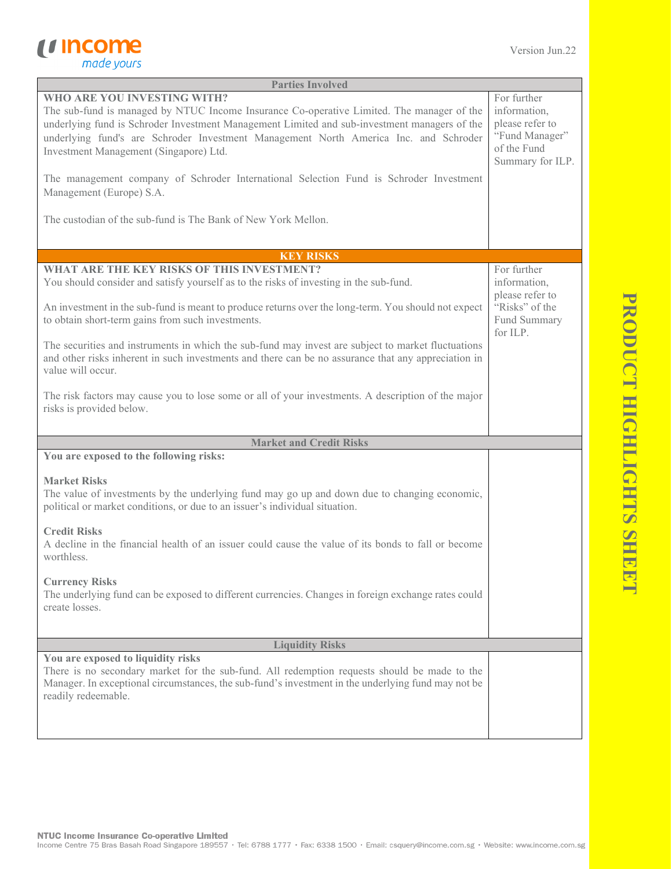

| <b>WHO ARE YOU INVESTING WITH?</b><br>For further<br>The sub-fund is managed by NTUC Income Insurance Co-operative Limited. The manager of the<br>information,<br>please refer to<br>underlying fund is Schroder Investment Management Limited and sub-investment managers of the<br>"Fund Manager"<br>underlying fund's are Schroder Investment Management North America Inc. and Schroder<br>of the Fund<br>Investment Management (Singapore) Ltd.<br>Summary for ILP.<br>The management company of Schroder International Selection Fund is Schroder Investment<br>Management (Europe) S.A.<br>The custodian of the sub-fund is The Bank of New York Mellon.<br><b>KEY RISKS</b><br>WHAT ARE THE KEY RISKS OF THIS INVESTMENT?<br>For further<br>You should consider and satisfy yourself as to the risks of investing in the sub-fund.<br>information,<br>please refer to<br>"Risks" of the<br>An investment in the sub-fund is meant to produce returns over the long-term. You should not expect<br>to obtain short-term gains from such investments.<br>Fund Summary<br>for ILP.<br>The securities and instruments in which the sub-fund may invest are subject to market fluctuations<br>and other risks inherent in such investments and there can be no assurance that any appreciation in<br>value will occur.<br>The risk factors may cause you to lose some or all of your investments. A description of the major<br>risks is provided below.<br><b>Market and Credit Risks</b><br>You are exposed to the following risks:<br><b>Market Risks</b><br>The value of investments by the underlying fund may go up and down due to changing economic,<br>political or market conditions, or due to an issuer's individual situation.<br><b>Credit Risks</b><br>A decline in the financial health of an issuer could cause the value of its bonds to fall or become<br>worthless.<br><b>Currency Risks</b><br>The underlying fund can be exposed to different currencies. Changes in foreign exchange rates could<br>create losses.<br><b>Liquidity Risks</b><br>You are exposed to liquidity risks<br>There is no secondary market for the sub-fund. All redemption requests should be made to the<br>Manager. In exceptional circumstances, the sub-fund's investment in the underlying fund may not be<br>readily redeemable. | <b>Parties Involved</b> |  |
|-------------------------------------------------------------------------------------------------------------------------------------------------------------------------------------------------------------------------------------------------------------------------------------------------------------------------------------------------------------------------------------------------------------------------------------------------------------------------------------------------------------------------------------------------------------------------------------------------------------------------------------------------------------------------------------------------------------------------------------------------------------------------------------------------------------------------------------------------------------------------------------------------------------------------------------------------------------------------------------------------------------------------------------------------------------------------------------------------------------------------------------------------------------------------------------------------------------------------------------------------------------------------------------------------------------------------------------------------------------------------------------------------------------------------------------------------------------------------------------------------------------------------------------------------------------------------------------------------------------------------------------------------------------------------------------------------------------------------------------------------------------------------------------------------------------------------------------------------------------------------------------------------------------------------------------------------------------------------------------------------------------------------------------------------------------------------------------------------------------------------------------------------------------------------------------------------------------------------------------------------------------------------------------------------------------------------------------------|-------------------------|--|
|                                                                                                                                                                                                                                                                                                                                                                                                                                                                                                                                                                                                                                                                                                                                                                                                                                                                                                                                                                                                                                                                                                                                                                                                                                                                                                                                                                                                                                                                                                                                                                                                                                                                                                                                                                                                                                                                                                                                                                                                                                                                                                                                                                                                                                                                                                                                           |                         |  |
|                                                                                                                                                                                                                                                                                                                                                                                                                                                                                                                                                                                                                                                                                                                                                                                                                                                                                                                                                                                                                                                                                                                                                                                                                                                                                                                                                                                                                                                                                                                                                                                                                                                                                                                                                                                                                                                                                                                                                                                                                                                                                                                                                                                                                                                                                                                                           |                         |  |
|                                                                                                                                                                                                                                                                                                                                                                                                                                                                                                                                                                                                                                                                                                                                                                                                                                                                                                                                                                                                                                                                                                                                                                                                                                                                                                                                                                                                                                                                                                                                                                                                                                                                                                                                                                                                                                                                                                                                                                                                                                                                                                                                                                                                                                                                                                                                           |                         |  |
|                                                                                                                                                                                                                                                                                                                                                                                                                                                                                                                                                                                                                                                                                                                                                                                                                                                                                                                                                                                                                                                                                                                                                                                                                                                                                                                                                                                                                                                                                                                                                                                                                                                                                                                                                                                                                                                                                                                                                                                                                                                                                                                                                                                                                                                                                                                                           |                         |  |
|                                                                                                                                                                                                                                                                                                                                                                                                                                                                                                                                                                                                                                                                                                                                                                                                                                                                                                                                                                                                                                                                                                                                                                                                                                                                                                                                                                                                                                                                                                                                                                                                                                                                                                                                                                                                                                                                                                                                                                                                                                                                                                                                                                                                                                                                                                                                           |                         |  |
|                                                                                                                                                                                                                                                                                                                                                                                                                                                                                                                                                                                                                                                                                                                                                                                                                                                                                                                                                                                                                                                                                                                                                                                                                                                                                                                                                                                                                                                                                                                                                                                                                                                                                                                                                                                                                                                                                                                                                                                                                                                                                                                                                                                                                                                                                                                                           |                         |  |
|                                                                                                                                                                                                                                                                                                                                                                                                                                                                                                                                                                                                                                                                                                                                                                                                                                                                                                                                                                                                                                                                                                                                                                                                                                                                                                                                                                                                                                                                                                                                                                                                                                                                                                                                                                                                                                                                                                                                                                                                                                                                                                                                                                                                                                                                                                                                           |                         |  |
|                                                                                                                                                                                                                                                                                                                                                                                                                                                                                                                                                                                                                                                                                                                                                                                                                                                                                                                                                                                                                                                                                                                                                                                                                                                                                                                                                                                                                                                                                                                                                                                                                                                                                                                                                                                                                                                                                                                                                                                                                                                                                                                                                                                                                                                                                                                                           |                         |  |
|                                                                                                                                                                                                                                                                                                                                                                                                                                                                                                                                                                                                                                                                                                                                                                                                                                                                                                                                                                                                                                                                                                                                                                                                                                                                                                                                                                                                                                                                                                                                                                                                                                                                                                                                                                                                                                                                                                                                                                                                                                                                                                                                                                                                                                                                                                                                           |                         |  |
|                                                                                                                                                                                                                                                                                                                                                                                                                                                                                                                                                                                                                                                                                                                                                                                                                                                                                                                                                                                                                                                                                                                                                                                                                                                                                                                                                                                                                                                                                                                                                                                                                                                                                                                                                                                                                                                                                                                                                                                                                                                                                                                                                                                                                                                                                                                                           |                         |  |
|                                                                                                                                                                                                                                                                                                                                                                                                                                                                                                                                                                                                                                                                                                                                                                                                                                                                                                                                                                                                                                                                                                                                                                                                                                                                                                                                                                                                                                                                                                                                                                                                                                                                                                                                                                                                                                                                                                                                                                                                                                                                                                                                                                                                                                                                                                                                           |                         |  |
|                                                                                                                                                                                                                                                                                                                                                                                                                                                                                                                                                                                                                                                                                                                                                                                                                                                                                                                                                                                                                                                                                                                                                                                                                                                                                                                                                                                                                                                                                                                                                                                                                                                                                                                                                                                                                                                                                                                                                                                                                                                                                                                                                                                                                                                                                                                                           |                         |  |
|                                                                                                                                                                                                                                                                                                                                                                                                                                                                                                                                                                                                                                                                                                                                                                                                                                                                                                                                                                                                                                                                                                                                                                                                                                                                                                                                                                                                                                                                                                                                                                                                                                                                                                                                                                                                                                                                                                                                                                                                                                                                                                                                                                                                                                                                                                                                           |                         |  |
|                                                                                                                                                                                                                                                                                                                                                                                                                                                                                                                                                                                                                                                                                                                                                                                                                                                                                                                                                                                                                                                                                                                                                                                                                                                                                                                                                                                                                                                                                                                                                                                                                                                                                                                                                                                                                                                                                                                                                                                                                                                                                                                                                                                                                                                                                                                                           |                         |  |
|                                                                                                                                                                                                                                                                                                                                                                                                                                                                                                                                                                                                                                                                                                                                                                                                                                                                                                                                                                                                                                                                                                                                                                                                                                                                                                                                                                                                                                                                                                                                                                                                                                                                                                                                                                                                                                                                                                                                                                                                                                                                                                                                                                                                                                                                                                                                           |                         |  |
|                                                                                                                                                                                                                                                                                                                                                                                                                                                                                                                                                                                                                                                                                                                                                                                                                                                                                                                                                                                                                                                                                                                                                                                                                                                                                                                                                                                                                                                                                                                                                                                                                                                                                                                                                                                                                                                                                                                                                                                                                                                                                                                                                                                                                                                                                                                                           |                         |  |
|                                                                                                                                                                                                                                                                                                                                                                                                                                                                                                                                                                                                                                                                                                                                                                                                                                                                                                                                                                                                                                                                                                                                                                                                                                                                                                                                                                                                                                                                                                                                                                                                                                                                                                                                                                                                                                                                                                                                                                                                                                                                                                                                                                                                                                                                                                                                           |                         |  |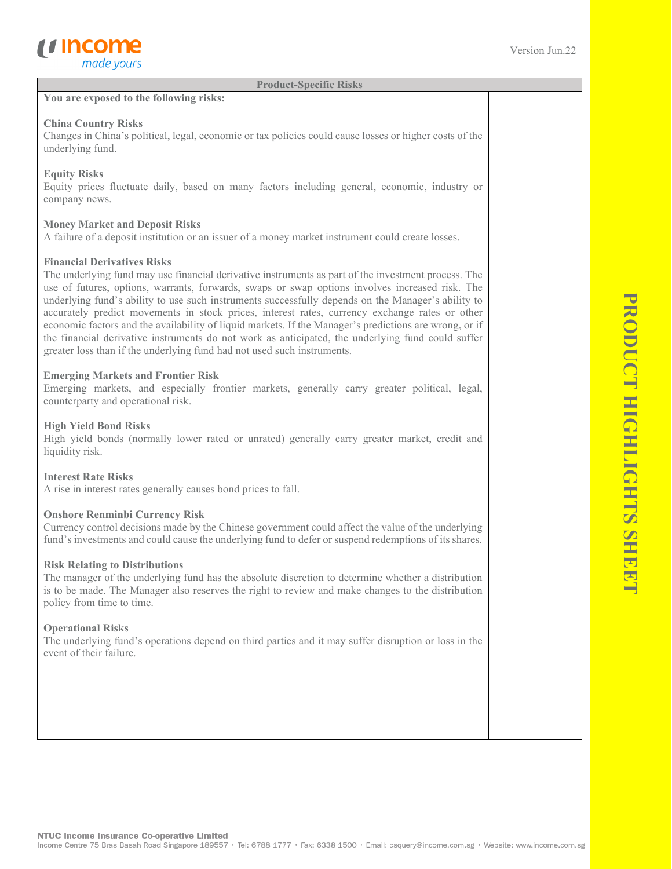**Product-Specific Risks**

#### **You are exposed to the following risks:**

#### **China Country Risks**

Changes in China's political, legal, economic or tax policies could cause losses or higher costs of the underlying fund.

### **Equity Risks**

Equity prices fluctuate daily, based on many factors including general, economic, industry or company news.

### **Money Market and Deposit Risks**

A failure of a deposit institution or an issuer of a money market instrument could create losses.

### **Financial Derivatives Risks**

The underlying fund may use financial derivative instruments as part of the investment process. The use of futures, options, warrants, forwards, swaps or swap options involves increased risk. The underlying fund's ability to use such instruments successfully depends on the Manager's ability to accurately predict movements in stock prices, interest rates, currency exchange rates or other economic factors and the availability of liquid markets. If the Manager's predictions are wrong, or if the financial derivative instruments do not work as anticipated, the underlying fund could suffer greater loss than if the underlying fund had not used such instruments.

### **Emerging Markets and Frontier Risk**

Emerging markets, and especially frontier markets, generally carry greater political, legal, counterparty and operational risk.

### **High Yield Bond Risks**

High yield bonds (normally lower rated or unrated) generally carry greater market, credit and liquidity risk.

#### **Interest Rate Risks**

A rise in interest rates generally causes bond prices to fall.

#### **Onshore Renminbi Currency Risk**

Currency control decisions made by the Chinese government could affect the value of the underlying fund's investments and could cause the underlying fund to defer or suspend redemptions of its shares.

#### **Risk Relating to Distributions**

The manager of the underlying fund has the absolute discretion to determine whether a distribution is to be made. The Manager also reserves the right to review and make changes to the distribution policy from time to time.

#### **Operational Risks**

The underlying fund's operations depend on third parties and it may suffer disruption or loss in the event of their failure.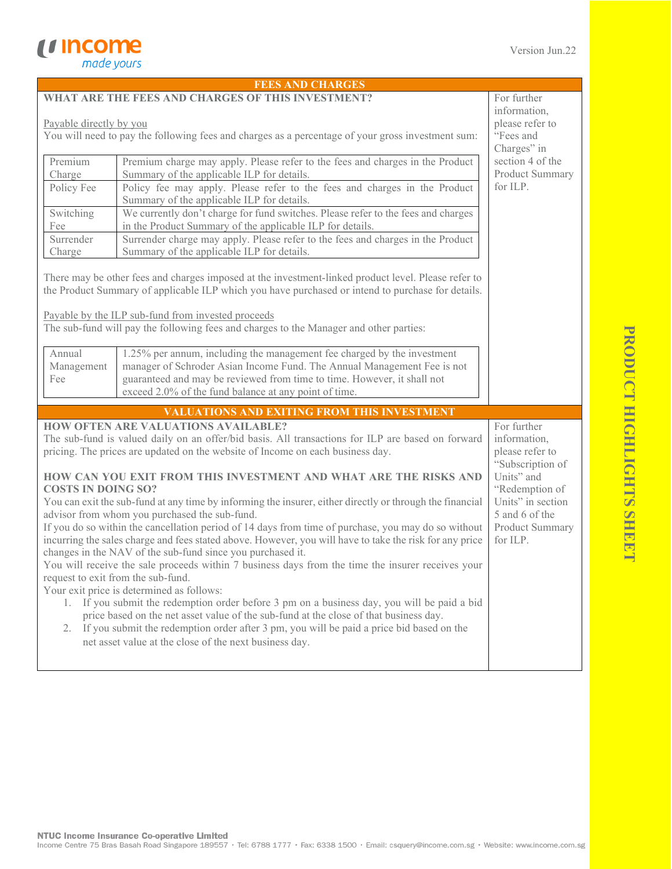|                                                                                                                               | <b>FEES AND CHARGES</b>                                                                                                 |                             |  |  |  |
|-------------------------------------------------------------------------------------------------------------------------------|-------------------------------------------------------------------------------------------------------------------------|-----------------------------|--|--|--|
| WHAT ARE THE FEES AND CHARGES OF THIS INVESTMENT?                                                                             | For further                                                                                                             |                             |  |  |  |
|                                                                                                                               | information,                                                                                                            |                             |  |  |  |
| Payable directly by you                                                                                                       | please refer to                                                                                                         |                             |  |  |  |
| You will need to pay the following fees and charges as a percentage of your gross investment sum:                             | "Fees and                                                                                                               |                             |  |  |  |
|                                                                                                                               |                                                                                                                         | Charges" in                 |  |  |  |
| Premium                                                                                                                       | Premium charge may apply. Please refer to the fees and charges in the Product                                           | section 4 of the            |  |  |  |
| Charge                                                                                                                        | Summary of the applicable ILP for details.                                                                              | Product Summary<br>for ILP. |  |  |  |
| Policy Fee                                                                                                                    | Policy fee may apply. Please refer to the fees and charges in the Product<br>Summary of the applicable ILP for details. |                             |  |  |  |
| Switching                                                                                                                     | We currently don't charge for fund switches. Please refer to the fees and charges                                       |                             |  |  |  |
| Fee                                                                                                                           | in the Product Summary of the applicable ILP for details.                                                               |                             |  |  |  |
| Surrender                                                                                                                     | Surrender charge may apply. Please refer to the fees and charges in the Product                                         |                             |  |  |  |
| Charge                                                                                                                        | Summary of the applicable ILP for details.                                                                              |                             |  |  |  |
|                                                                                                                               |                                                                                                                         |                             |  |  |  |
|                                                                                                                               | There may be other fees and charges imposed at the investment-linked product level. Please refer to                     |                             |  |  |  |
|                                                                                                                               | the Product Summary of applicable ILP which you have purchased or intend to purchase for details.                       |                             |  |  |  |
|                                                                                                                               |                                                                                                                         |                             |  |  |  |
|                                                                                                                               | Payable by the ILP sub-fund from invested proceeds                                                                      |                             |  |  |  |
|                                                                                                                               | The sub-fund will pay the following fees and charges to the Manager and other parties:                                  |                             |  |  |  |
| Annual                                                                                                                        | 1.25% per annum, including the management fee charged by the investment                                                 |                             |  |  |  |
| Management                                                                                                                    | manager of Schroder Asian Income Fund. The Annual Management Fee is not                                                 |                             |  |  |  |
| Fee                                                                                                                           | guaranteed and may be reviewed from time to time. However, it shall not                                                 |                             |  |  |  |
|                                                                                                                               | exceed 2.0% of the fund balance at any point of time.                                                                   |                             |  |  |  |
|                                                                                                                               | VALUATIONS AND EXITING FROM THIS INVESTMENT                                                                             |                             |  |  |  |
|                                                                                                                               | <b>HOW OFTEN ARE VALUATIONS AVAILABLE?</b>                                                                              | For further                 |  |  |  |
|                                                                                                                               | The sub-fund is valued daily on an offer/bid basis. All transactions for ILP are based on forward                       | information,                |  |  |  |
|                                                                                                                               | pricing. The prices are updated on the website of Income on each business day.                                          | please refer to             |  |  |  |
|                                                                                                                               |                                                                                                                         | "Subscription of            |  |  |  |
| Units" and<br>HOW CAN YOU EXIT FROM THIS INVESTMENT AND WHAT ARE THE RISKS AND                                                |                                                                                                                         |                             |  |  |  |
|                                                                                                                               | <b>COSTS IN DOING SO?</b><br>"Redemption of                                                                             |                             |  |  |  |
| Units" in section<br>You can exit the sub-fund at any time by informing the insurer, either directly or through the financial |                                                                                                                         |                             |  |  |  |
|                                                                                                                               | advisor from whom you purchased the sub-fund.<br>5 and 6 of the                                                         |                             |  |  |  |
|                                                                                                                               | If you do so within the cancellation period of 14 days from time of purchase, you may do so without                     | Product Summary             |  |  |  |
| incurring the sales charge and fees stated above. However, you will have to take the risk for any price<br>for ILP.           |                                                                                                                         |                             |  |  |  |
| changes in the NAV of the sub-fund since you purchased it.                                                                    |                                                                                                                         |                             |  |  |  |
| You will receive the sale proceeds within 7 business days from the time the insurer receives your                             |                                                                                                                         |                             |  |  |  |
| request to exit from the sub-fund.<br>Your exit price is determined as follows:                                               |                                                                                                                         |                             |  |  |  |
| 1. If you submit the redemption order before 3 pm on a business day, you will be paid a bid                                   |                                                                                                                         |                             |  |  |  |
| price based on the net asset value of the sub-fund at the close of that business day.                                         |                                                                                                                         |                             |  |  |  |
| If you submit the redemption order after 3 pm, you will be paid a price bid based on the<br>2.                                |                                                                                                                         |                             |  |  |  |
| net asset value at the close of the next business day.                                                                        |                                                                                                                         |                             |  |  |  |
|                                                                                                                               |                                                                                                                         |                             |  |  |  |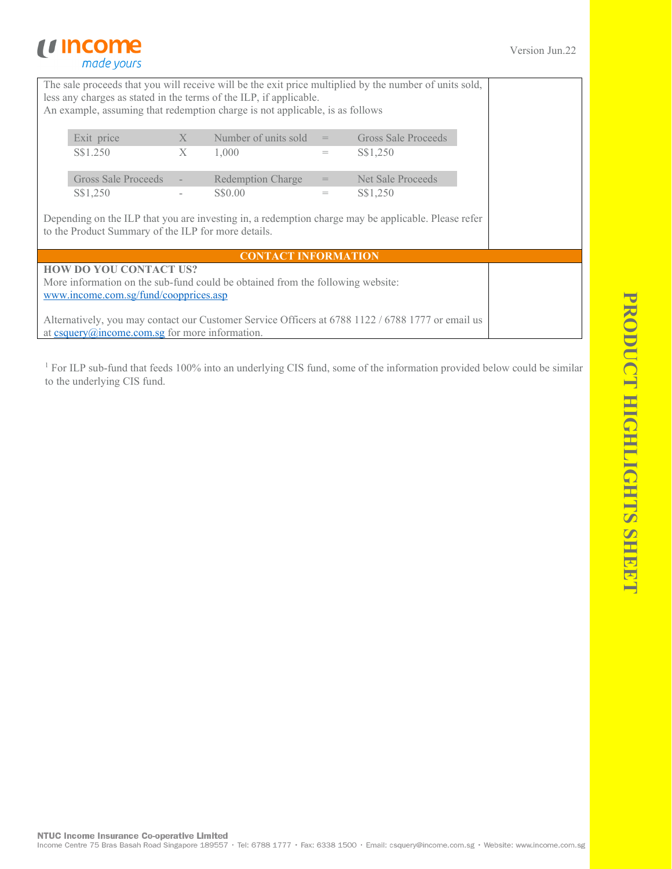# *u* income made yours

|                                                                    |   |                                                                                |     | The sale proceeds that you will receive will be the exit price multiplied by the number of units sold, |  |
|--------------------------------------------------------------------|---|--------------------------------------------------------------------------------|-----|--------------------------------------------------------------------------------------------------------|--|
| less any charges as stated in the terms of the ILP, if applicable. |   |                                                                                |     |                                                                                                        |  |
|                                                                    |   | An example, assuming that redemption charge is not applicable, is as follows   |     |                                                                                                        |  |
|                                                                    |   |                                                                                |     |                                                                                                        |  |
| Exit price                                                         | X | Number of units sold                                                           | $=$ | Gross Sale Proceeds                                                                                    |  |
| S\$1.250                                                           | X | 1,000                                                                          | $=$ | S\$1,250                                                                                               |  |
| Gross Sale Proceeds                                                |   | Redemption Charge                                                              | $=$ | Net Sale Proceeds                                                                                      |  |
| S\$1,250                                                           |   | S\$0.00                                                                        | $=$ | S\$1,250                                                                                               |  |
| to the Product Summary of the ILP for more details.                |   |                                                                                |     | Depending on the ILP that you are investing in, a redemption charge may be applicable. Please refer    |  |
|                                                                    |   | <b>CONTACT INFORMATION</b>                                                     |     |                                                                                                        |  |
| <b>HOW DO YOU CONTACT US?</b>                                      |   |                                                                                |     |                                                                                                        |  |
| www.income.com.sg/fund/coopprices.asp                              |   | More information on the sub-fund could be obtained from the following website: |     |                                                                                                        |  |
|                                                                    |   |                                                                                |     | Alternatively, you may contact our Customer Service Officers at 6788 1122 / 6788 1777 or email us      |  |

at  $c \frac{c \cdot c \cdot c}{c \cdot c}$  come.com.sg for more information.

<sup>1</sup> For ILP sub-fund that feeds 100% into an underlying CIS fund, some of the information provided below could be similar to the underlying CIS fund.